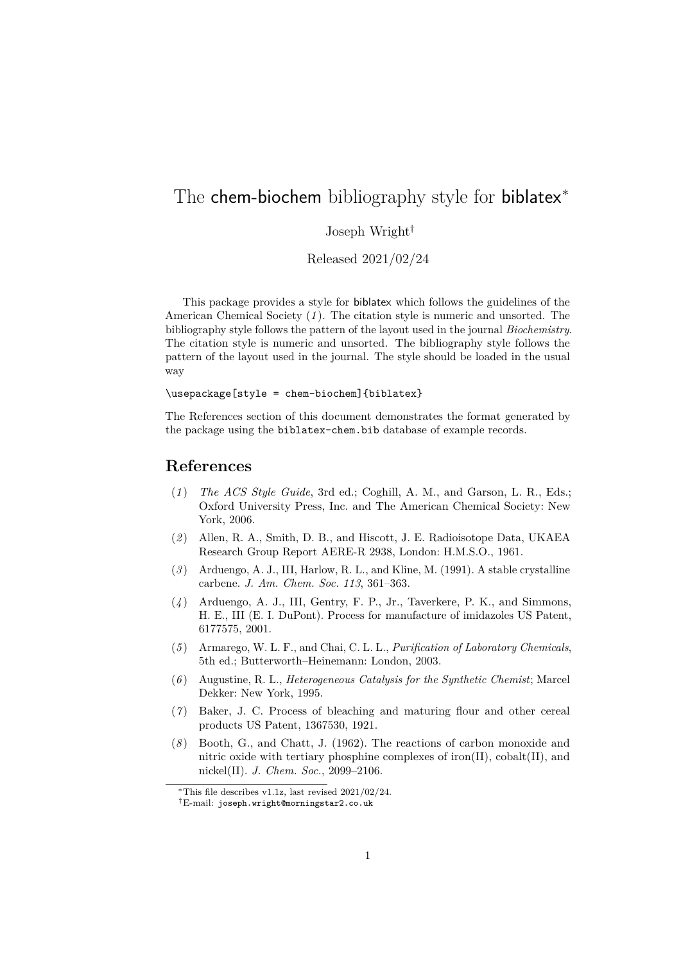## The chem-biochem bibliography style for biblatex<sup>\*</sup>

## Joseph Wright†

Released 2021/02/24

This package provides a style for biblatex which follows the guidelines of the American Chemical Society (*[1](#page-0-0)* ). The citation style is numeric and unsorted. The bibliography style follows the pattern of the layout used in the journal *Biochemistry*. The citation style is numeric and unsorted. The bibliography style follows the pattern of the layout used in the journal. The style should be loaded in the usual way

\usepackage[style = chem-biochem]{biblatex}

The References section of this document demonstrates the format generated by the package using the biblatex-chem.bib database of example records.

## **References**

- <span id="page-0-0"></span>(*1* ) *The ACS Style Guide*, 3rd ed.; Coghill, A. M., and Garson, L. R., Eds.; Oxford University Press, Inc. and The American Chemical Society: New York, 2006.
- (*2* ) Allen, R. A., Smith, D. B., and Hiscott, J. E. Radioisotope Data, UKAEA Research Group Report AERE-R 2938, London: H.M.S.O., 1961.
- (*3* ) Arduengo, A. J., III, Harlow, R. L., and Kline, M. (1991). A stable crystalline carbene. *J. Am. Chem. Soc. 113*, 361–363.
- (*4* ) Arduengo, A. J., III, Gentry, F. P., Jr., Taverkere, P. K., and Simmons, H. E., III (E. I. DuPont). Process for manufacture of imidazoles US Patent, 6177575, 2001.
- (*5* ) Armarego, W. L. F., and Chai, C. L. L., *Purification of Laboratory Chemicals*, 5th ed.; Butterworth–Heinemann: London, 2003.
- (*6* ) Augustine, R. L., *Heterogeneous Catalysis for the Synthetic Chemist*; Marcel Dekker: New York, 1995.
- (*7* ) Baker, J. C. Process of bleaching and maturing flour and other cereal products US Patent, 1367530, 1921.
- (*8* ) Booth, G., and Chatt, J. (1962). The reactions of carbon monoxide and nitric oxide with tertiary phosphine complexes of iron(II), cobalt(II), and nickel(II). *J. Chem. Soc.*, 2099–2106.

<sup>∗</sup>This file describes v1.1z, last revised 2021/02/24.

<sup>†</sup>E-mail: [joseph.wright@morningstar2.co.uk](mailto:joseph.wright@morningstar2.co.uk)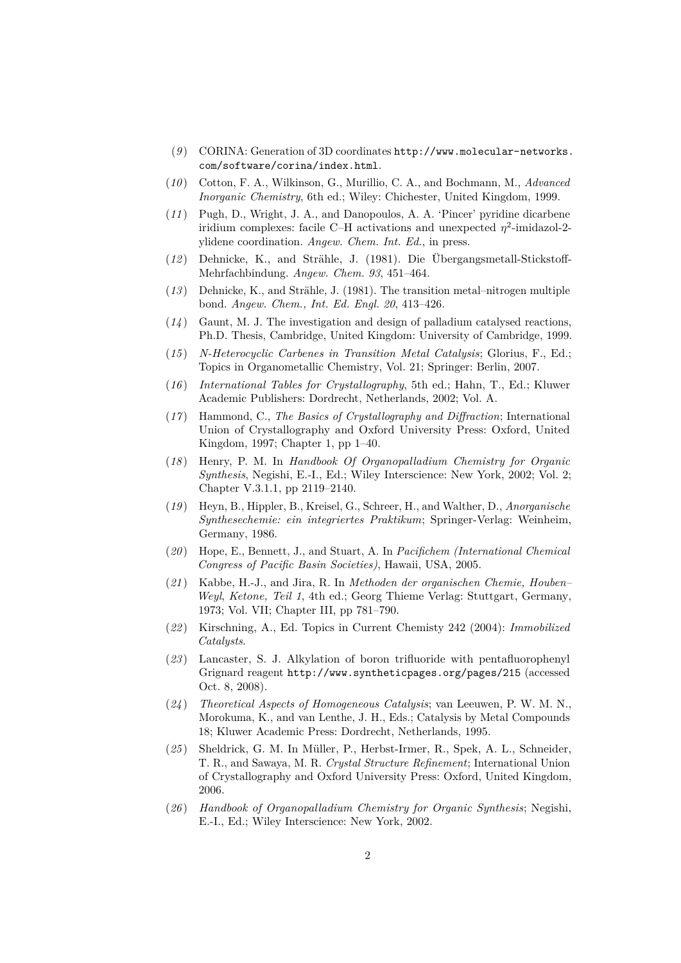- (*9* ) CORINA: Generation of 3D coordinates [http://www.molecular-networks.](http://www.molecular-networks.com/software/corina/index.html) [com/software/corina/index.html](http://www.molecular-networks.com/software/corina/index.html).
- (*10* ) Cotton, F. A., Wilkinson, G., Murillio, C. A., and Bochmann, M., *Advanced Inorganic Chemistry*, 6th ed.; Wiley: Chichester, United Kingdom, 1999.
- (*11* ) Pugh, D., Wright, J. A., and Danopoulos, A. A. 'Pincer' pyridine dicarbene iridium complexes: facile C–H activations and unexpected  $\eta^2$ -imidazol-2ylidene coordination. *Angew. Chem. Int. Ed.*, in press.
- (*12* ) Dehnicke, K., and Strähle, J. (1981). Die Übergangsmetall-Stickstoff-Mehrfachbindung. *Angew. Chem. 93*, 451–464.
- (*13* ) Dehnicke, K., and Strähle, J. (1981). The transition metal–nitrogen multiple bond. *Angew. Chem., Int. Ed. Engl. 20*, 413–426.
- (*14* ) Gaunt, M. J. The investigation and design of palladium catalysed reactions, Ph.D. Thesis, Cambridge, United Kingdom: University of Cambridge, 1999.
- (*15* ) *N-Heterocyclic Carbenes in Transition Metal Catalysis*; Glorius, F., Ed.; Topics in Organometallic Chemistry, Vol. 21; Springer: Berlin, 2007.
- (*16* ) *International Tables for Crystallography*, 5th ed.; Hahn, T., Ed.; Kluwer Academic Publishers: Dordrecht, Netherlands, 2002; Vol. A.
- (*17* ) Hammond, C., *The Basics of Crystallography and Diffraction*; International Union of Crystallography and Oxford University Press: Oxford, United Kingdom, 1997; Chapter 1, pp 1–40.
- (*18* ) Henry, P. M. In *Handbook Of Organopalladium Chemistry for Organic Synthesis*, Negishi, E.-I., Ed.; Wiley Interscience: New York, 2002; Vol. 2; Chapter V.3.1.1, pp 2119–2140.
- (*19* ) Heyn, B., Hippler, B., Kreisel, G., Schreer, H., and Walther, D., *Anorganische Synthesechemie: ein integriertes Praktikum*; Springer-Verlag: Weinheim, Germany, 1986.
- (*20* ) Hope, E., Bennett, J., and Stuart, A. In *Pacifichem (International Chemical Congress of Pacific Basin Societies)*, Hawaii, USA, 2005.
- (*21* ) Kabbe, H.-J., and Jira, R. In *Methoden der organischen Chemie, Houben– Weyl*, *Ketone, Teil 1*, 4th ed.; Georg Thieme Verlag: Stuttgart, Germany, 1973; Vol. VII; Chapter III, pp 781–790.
- (*22* ) Kirschning, A., Ed. Topics in Current Chemisty 242 (2004): *Immobilized Catalysts*.
- (*23* ) Lancaster, S. J. Alkylation of boron trifluoride with pentafluorophenyl Grignard reagent <http://www.syntheticpages.org/pages/215> (accessed Oct. 8, 2008).
- (*24* ) *Theoretical Aspects of Homogeneous Catalysis*; van Leeuwen, P. W. M. N., Morokuma, K., and van Lenthe, J. H., Eds.; Catalysis by Metal Compounds 18; Kluwer Academic Press: Dordrecht, Netherlands, 1995.
- (*25* ) Sheldrick, G. M. In Müller, P., Herbst-Irmer, R., Spek, A. L., Schneider, T. R., and Sawaya, M. R. *Crystal Structure Refinement*; International Union of Crystallography and Oxford University Press: Oxford, United Kingdom, 2006.
- (*26* ) *Handbook of Organopalladium Chemistry for Organic Synthesis*; Negishi, E.-I., Ed.; Wiley Interscience: New York, 2002.